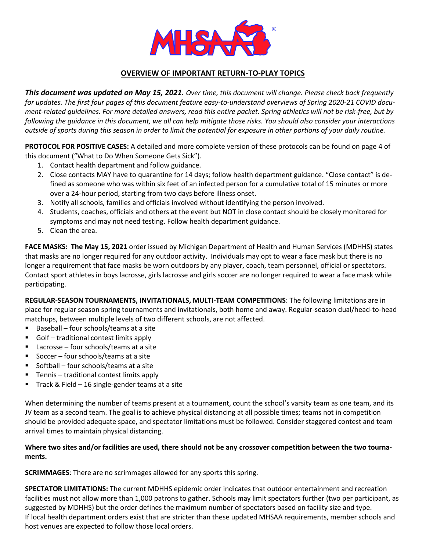

# **OVERVIEW OF IMPORTANT RETURN-TO-PLAY TOPICS**

*This document was updated on May 15, 2021. Over time, this document will change. Please check back frequently*  for updates. The first four pages of this document feature easy-to-understand overviews of Spring 2020-21 COVID docu*ment-related guidelines. For more detailed answers, read this entire packet. Spring athletics will not be risk-free, but by following the guidance in this document, we all can help mitigate those risks. You should also consider your interactions outside of sports during this season in order to limit the potential for exposure in other portions of your daily routine.*

**PROTOCOL FOR POSITIVE CASES:** A detailed and more complete version of these protocols can be found on page 4 of this document ("What to Do When Someone Gets Sick").

- 1. Contact health department and follow guidance.
- 2. Close contacts MAY have to quarantine for 14 days; follow health department guidance. "Close contact" is defined as someone who was within six feet of an infected person for a cumulative total of 15 minutes or more over a 24-hour period, starting from two days before illness onset.
- 3. Notify all schools, families and officials involved without identifying the person involved.
- 4. Students, coaches, officials and others at the event but NOT in close contact should be closely monitored for symptoms and may not need testing. Follow health department guidance.
- 5. Clean the area.

**FACE MASKS: The May 15, 2021** order issued by Michigan Department of Health and Human Services (MDHHS) states that masks are no longer required for any outdoor activity. Individuals may opt to wear a face mask but there is no longer a requirement that face masks be worn outdoors by any player, coach, team personnel, official or spectators. Contact sport athletes in boys lacrosse, girls lacrosse and girls soccer are no longer required to wear a face mask while participating.

**REGULAR-SEASON TOURNAMENTS, INVITATIONALS, MULTI-TEAM COMPETITIONS**: The following limitations are in place for regular season spring tournaments and invitationals, both home and away. Regular-season dual/head-to-head matchups, between multiple levels of two different schools, are not affected.

- Baseball four schools/teams at a site
- Golf traditional contest limits apply
- Lacrosse four schools/teams at a site
- Soccer four schools/teams at a site
- Softball four schools/teams at a site
- Tennis traditional contest limits apply
- Track & Field 16 single-gender teams at a site

When determining the number of teams present at a tournament, count the school's varsity team as one team, and its JV team as a second team. The goal is to achieve physical distancing at all possible times; teams not in competition should be provided adequate space, and spectator limitations must be followed. Consider staggered contest and team arrival times to maintain physical distancing.

#### **Where two sites and/or facilities are used, there should not be any crossover competition between the two tournaments.**

**SCRIMMAGES**: There are no scrimmages allowed for any sports this spring.

**SPECTATOR LIMITATIONS:** The current MDHHS epidemic order indicates that outdoor entertainment and recreation facilities must not allow more than 1,000 patrons to gather. Schools may limit spectators further (two per participant, as suggested by MDHHS) but the order defines the maximum number of spectators based on facility size and type. If local health department orders exist that are stricter than these updated MHSAA requirements, member schools and host venues are expected to follow those local orders.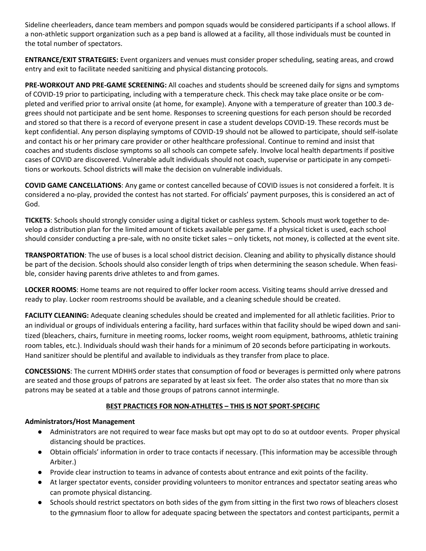Sideline cheerleaders, dance team members and pompon squads would be considered participants if a school allows. If a non-athletic support organization such as a pep band is allowed at a facility, all those individuals must be counted in the total number of spectators.

**ENTRANCE/EXIT STRATEGIES:** Event organizers and venues must consider proper scheduling, seating areas, and crowd entry and exit to facilitate needed sanitizing and physical distancing protocols.

**PRE-WORKOUT AND PRE-GAME SCREENING:** All coaches and students should be screened daily for signs and symptoms of COVID-19 prior to participating, including with a temperature check. This check may take place onsite or be completed and verified prior to arrival onsite (at home, for example). Anyone with a temperature of greater than 100.3 degrees should not participate and be sent home. Responses to screening questions for each person should be recorded and stored so that there is a record of everyone present in case a student develops COVID-19. These records must be kept confidential. Any person displaying symptoms of COVID-19 should not be allowed to participate, should self-isolate and contact his or her primary care provider or other healthcare professional. Continue to remind and insist that coaches and students disclose symptoms so all schools can compete safely. Involve local health departments if positive cases of COVID are discovered. Vulnerable adult individuals should not coach, supervise or participate in any competitions or workouts. School districts will make the decision on vulnerable individuals.

**COVID GAME CANCELLATIONS**: Any game or contest cancelled because of COVID issues is not considered a forfeit. It is considered a no-play, provided the contest has not started. For officials' payment purposes, this is considered an act of God.

**TICKETS**: Schools should strongly consider using a digital ticket or cashless system. Schools must work together to develop a distribution plan for the limited amount of tickets available per game. If a physical ticket is used, each school should consider conducting a pre-sale, with no onsite ticket sales – only tickets, not money, is collected at the event site.

**TRANSPORTATION**: The use of buses is a local school district decision. Cleaning and ability to physically distance should be part of the decision. Schools should also consider length of trips when determining the season schedule. When feasible, consider having parents drive athletes to and from games.

**LOCKER ROOMS**: Home teams are not required to offer locker room access. Visiting teams should arrive dressed and ready to play. Locker room restrooms should be available, and a cleaning schedule should be created.

**FACILITY CLEANING:** Adequate cleaning schedules should be created and implemented for all athletic facilities. Prior to an individual or groups of individuals entering a facility, hard surfaces within that facility should be wiped down and sanitized (bleachers, chairs, furniture in meeting rooms, locker rooms, weight room equipment, bathrooms, athletic training room tables, etc.). Individuals should wash their hands for a minimum of 20 seconds before participating in workouts. Hand sanitizer should be plentiful and available to individuals as they transfer from place to place.

**CONCESSIONS**: The current MDHHS order states that consumption of food or beverages is permitted only where patrons are seated and those groups of patrons are separated by at least six feet. The order also states that no more than six patrons may be seated at a table and those groups of patrons cannot intermingle.

## **BEST PRACTICES FOR NON-ATHLETES – THIS IS NOT SPORT-SPECIFIC**

#### **Administrators/Host Management**

- Administrators are not required to wear face masks but opt may opt to do so at outdoor events. Proper physical distancing should be practices.
- Obtain officials' information in order to trace contacts if necessary. (This information may be accessible through Arbiter.)
- Provide clear instruction to teams in advance of contests about entrance and exit points of the facility.
- At larger spectator events, consider providing volunteers to monitor entrances and spectator seating areas who can promote physical distancing.
- Schools should restrict spectators on both sides of the gym from sitting in the first two rows of bleachers closest to the gymnasium floor to allow for adequate spacing between the spectators and contest participants, permit a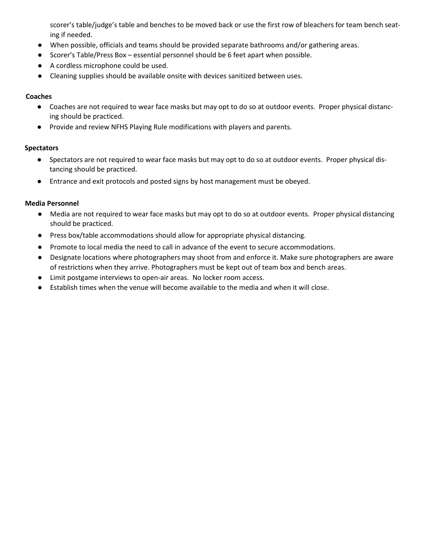scorer's table/judge's table and benches to be moved back or use the first row of bleachers for team bench seating if needed.

- When possible, officials and teams should be provided separate bathrooms and/or gathering areas.
- Scorer's Table/Press Box essential personnel should be 6 feet apart when possible.
- A cordless microphone could be used.
- Cleaning supplies should be available onsite with devices sanitized between uses.

### **Coaches**

- Coaches are not required to wear face masks but may opt to do so at outdoor events. Proper physical distancing should be practiced.
- Provide and review NFHS Playing Rule modifications with players and parents.

#### **Spectators**

- Spectators are not required to wear face masks but may opt to do so at outdoor events. Proper physical distancing should be practiced.
- Entrance and exit protocols and posted signs by host management must be obeyed.

#### **Media Personnel**

- Media are not required to wear face masks but may opt to do so at outdoor events. Proper physical distancing should be practiced.
- Press box/table accommodations should allow for appropriate physical distancing.
- Promote to local media the need to call in advance of the event to secure accommodations.
- Designate locations where photographers may shoot from and enforce it. Make sure photographers are aware of restrictions when they arrive. Photographers must be kept out of team box and bench areas.
- Limit postgame interviews to open-air areas. No locker room access.
- Establish times when the venue will become available to the media and when it will close.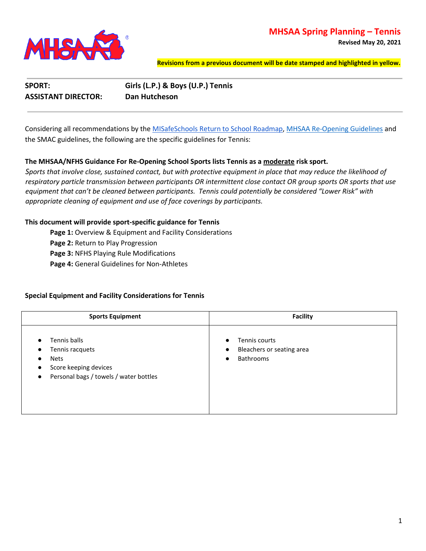# **MHSAA Spring Planning – Tennis**



**Revised May 20, 2021**

**Revisions from a previous document will be date stamped and highlighted in yellow.**

**SPORT: Girls (L.P.) & Boys (U.P.) Tennis ASSISTANT DIRECTOR: Dan Hutcheson**

Considering all recommendations by the [MISafeSchools Return to School Roadmap,](https://www.michigan.gov/documents/whitmer/MI_Safe_Schools_Roadmap_FINAL_695392_7.pdf) [MHSAA Re-Opening Guidelines](https://www.mhsaa.com/News/Announcements/articleType/ArticleView/articleId/9148/Sports-Re-Opening-Update-Center) and the SMAC guidelines, the following are the specific guidelines for Tennis:

#### **The MHSAA/NFHS Guidance For Re-Opening School Sports lists Tennis as a moderate risk sport.**

*Sports that involve close, sustained contact, but with protective equipment in place that may reduce the likelihood of respiratory particle transmission between participants OR intermittent close contact OR group sports OR sports that use equipment that can't be cleaned between participants. Tennis could potentially be considered "Lower Risk" with appropriate cleaning of equipment and use of face coverings by participants.*

#### **This document will provide sport-specific guidance for Tennis**

Page 1: Overview & Equipment and Facility Considerations

Page 2: Return to Play Progression

**Page 3:** NFHS Playing Rule Modifications

**Page 4:** General Guidelines for Non-Athletes

#### **Special Equipment and Facility Considerations for Tennis**

| <b>Sports Equipment</b>                                                                                                                                                            | <b>Facility</b>                                                                                       |  |  |  |  |  |  |  |
|------------------------------------------------------------------------------------------------------------------------------------------------------------------------------------|-------------------------------------------------------------------------------------------------------|--|--|--|--|--|--|--|
| Tennis balls<br>$\bullet$<br>Tennis racquets<br>$\bullet$<br><b>Nets</b><br>$\bullet$<br>Score keeping devices<br>$\bullet$<br>Personal bags / towels / water bottles<br>$\bullet$ | Tennis courts<br>$\bullet$<br>Bleachers or seating area<br>$\bullet$<br><b>Bathrooms</b><br>$\bullet$ |  |  |  |  |  |  |  |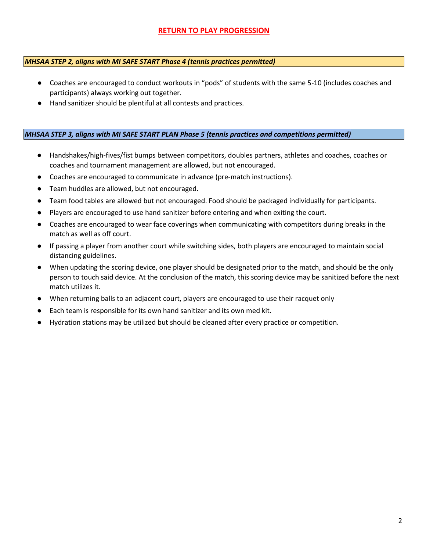# **RETURN TO PLAY PROGRESSION**

#### *MHSAA STEP 2, aligns with MI SAFE START Phase 4 (tennis practices permitted)*

- Coaches are encouraged to conduct workouts in "pods" of students with the same 5-10 (includes coaches and participants) always working out together.
- Hand sanitizer should be plentiful at all contests and practices.

#### *MHSAA STEP 3, aligns with MI SAFE START PLAN Phase 5 (tennis practices and competitions permitted)*

- Handshakes/high-fives/fist bumps between competitors, doubles partners, athletes and coaches, coaches or coaches and tournament management are allowed, but not encouraged.
- Coaches are encouraged to communicate in advance (pre-match instructions).
- Team huddles are allowed, but not encouraged.
- Team food tables are allowed but not encouraged. Food should be packaged individually for participants.
- Players are encouraged to use hand sanitizer before entering and when exiting the court.
- Coaches are encouraged to wear face coverings when communicating with competitors during breaks in the match as well as off court.
- If passing a player from another court while switching sides, both players are encouraged to maintain social distancing guidelines.
- When updating the scoring device, one player should be designated prior to the match, and should be the only person to touch said device. At the conclusion of the match, this scoring device may be sanitized before the next match utilizes it.
- When returning balls to an adjacent court, players are encouraged to use their racquet only
- Each team is responsible for its own hand sanitizer and its own med kit.
- Hydration stations may be utilized but should be cleaned after every practice or competition.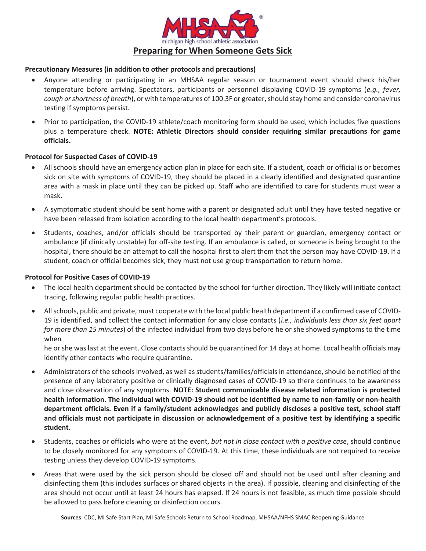

#### **Precautionary Measures (in addition to other protocols and precautions)**

- x Anyone attending or participating in an MHSAA regular season or tournament event should check his/her temperature before arriving. Spectators, participants or personnel displaying COVID-19 symptoms (*e.g., fever, cough or shortness of breath*), or with temperatures of 100.3F or greater, should stay home and consider coronavirus testing if symptoms persist.
- Prior to participation, the COVID-19 athlete/coach monitoring form should be used, which includes five questions plus a temperature check. **NOTE: Athletic Directors should consider requiring similar precautions for game officials.**

#### **Protocol for Suspected Cases of COVID-19**

- All schools should have an emergency action plan in place for each site. If a student, coach or official is or becomes sick on site with symptoms of COVID-19, they should be placed in a clearly identified and designated quarantine area with a mask in place until they can be picked up. Staff who are identified to care for students must wear a mask.
- A symptomatic student should be sent home with a parent or designated adult until they have tested negative or have been released from isolation according to the local health department's protocols.
- Students, coaches, and/or officials should be transported by their parent or guardian, emergency contact or ambulance (if clinically unstable) for off-site testing. If an ambulance is called, or someone is being brought to the hospital, there should be an attempt to call the hospital first to alert them that the person may have COVID-19. If a student, coach or official becomes sick, they must not use group transportation to return home.

#### **Protocol for Positive Cases of COVID-19**

- x The local health department should be contacted by the school for further direction. They likely will initiate contact tracing, following regular public health practices.
- All schools, public and private, must cooperate with the local public health department if a confirmed case of COVID-19 is identified, and collect the contact information for any close contacts (*i.e., individuals less than six feet apart for more than 15 minutes*) of the infected individual from two days before he or she showed symptoms to the time when

he or she was last at the event. Close contacts should be quarantined for 14 days at home. Local health officials may identify other contacts who require quarantine.

- Administrators of the schools involved, as well as students/families/officials in attendance, should be notified of the presence of any laboratory positive or clinically diagnosed cases of COVID-19 so there continues to be awareness and close observation of any symptoms. **NOTE: Student communicable disease related information is protected health information. The individual with COVID-19 should not be identified by name to non-family or non-health department officials. Even if a family/student acknowledges and publicly discloses a positive test, school staff and officials must not participate in discussion or acknowledgement of a positive test by identifying a specific student.**
- x Students, coaches or officials who were at the event, *but not in close contact with a positive case*, should continue to be closely monitored for any symptoms of COVID-19. At this time, these individuals are not required to receive testing unless they develop COVID-19 symptoms.
- Areas that were used by the sick person should be closed off and should not be used until after cleaning and disinfecting them (this includes surfaces or shared objects in the area). If possible, cleaning and disinfecting of the area should not occur until at least 24 hours has elapsed. If 24 hours is not feasible, as much time possible should be allowed to pass before cleaning or disinfection occurs.